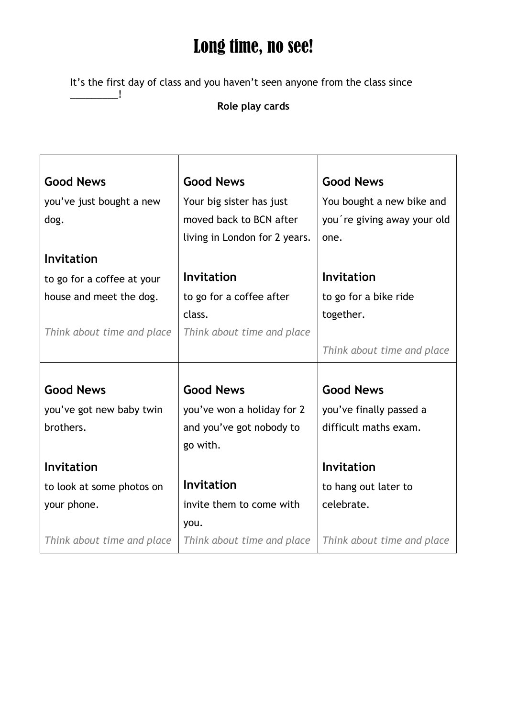## Long time, no see!

It's the first day of class and you haven't seen anyone from the class since \_\_\_\_\_\_\_\_\_!

## **Role play cards**

| <b>Good News</b>           | <b>Good News</b>              | <b>Good News</b>            |
|----------------------------|-------------------------------|-----------------------------|
| you've just bought a new   | Your big sister has just      | You bought a new bike and   |
| dog.                       | moved back to BCN after       | you're giving away your old |
|                            | living in London for 2 years. | one.                        |
| <b>Invitation</b>          |                               |                             |
| to go for a coffee at your | <b>Invitation</b>             | <b>Invitation</b>           |
| house and meet the dog.    | to go for a coffee after      | to go for a bike ride       |
|                            | class.                        | together.                   |
| Think about time and place | Think about time and place    |                             |
|                            |                               | Think about time and place  |
|                            |                               |                             |
| <b>Good News</b>           | <b>Good News</b>              | <b>Good News</b>            |
| you've got new baby twin   | you've won a holiday for 2    | you've finally passed a     |
| brothers.                  | and you've got nobody to      | difficult maths exam.       |
|                            | go with.                      |                             |
| Invitation                 |                               | <b>Invitation</b>           |
| to look at some photos on  | <b>Invitation</b>             | to hang out later to        |
| your phone.                | invite them to come with      | celebrate.                  |
|                            | you.                          |                             |
| Think about time and place | Think about time and place    | Think about time and place  |